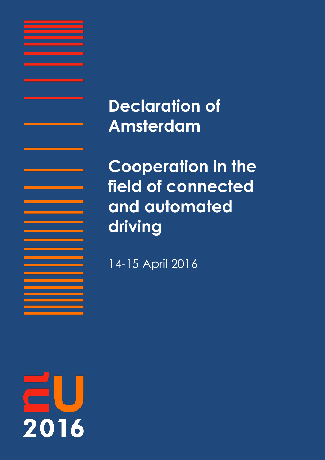**Declaration of Amsterdam**

**Cooperation in the field of connected and automated driving** 

14-15 April 2016

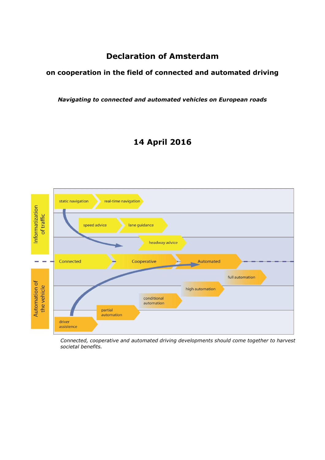# **Declaration of Amsterdam**

# **on cooperation in the field of connected and automated driving**

*Navigating to connected and automated vehicles on European roads*

# **14 April 2016**



*Connected, cooperative and automated driving developments should come together to harvest societal benefits.*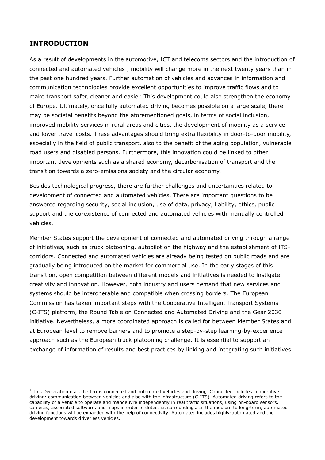# **INTRODUCTION**

As a result of developments in the automotive, ICT and telecoms sectors and the introduction of connected and automated vehicles<sup>1</sup>, mobility will change more in the next twenty years than in the past one hundred years. Further automation of vehicles and advances in information and communication technologies provide excellent opportunities to improve traffic flows and to make transport safer, cleaner and easier. This development could also strengthen the economy of Europe. Ultimately, once fully automated driving becomes possible on a large scale, there may be societal benefits beyond the aforementioned goals, in terms of social inclusion, improved mobility services in rural areas and cities, the development of mobility as a service and lower travel costs. These advantages should bring extra flexibility in door-to-door mobility, especially in the field of public transport, also to the benefit of the aging population, vulnerable road users and disabled persons. Furthermore, this innovation could be linked to other important developments such as a shared economy, decarbonisation of transport and the transition towards a zero-emissions society and the circular economy.

Besides technological progress, there are further challenges and uncertainties related to development of connected and automated vehicles. There are important questions to be answered regarding security, social inclusion, use of data, privacy, liability, ethics, public support and the co-existence of connected and automated vehicles with manually controlled vehicles.

Member States support the development of connected and automated driving through a range of initiatives, such as truck platooning, autopilot on the highway and the establishment of ITScorridors. Connected and automated vehicles are already being tested on public roads and are gradually being introduced on the market for commercial use. In the early stages of this transition, open competition between different models and initiatives is needed to instigate creativity and innovation. However, both industry and users demand that new services and systems should be interoperable and compatible when crossing borders. The European Commission has taken important steps with the Cooperative Intelligent Transport Systems (C-ITS) platform, the Round Table on Connected and Automated Driving and the Gear 2030 initiative. Nevertheless, a more coordinated approach is called for between Member States and at European level to remove barriers and to promote a step-by-step learning-by-experience approach such as the European truck platooning challenge. It is essential to support an exchange of information of results and best practices by linking and integrating such initiatives.

\_\_\_\_\_\_\_\_\_\_\_\_\_\_\_\_\_\_\_\_\_\_\_\_\_\_\_\_\_\_\_\_\_\_\_\_\_\_

 $1$  This Declaration uses the terms connected and automated vehicles and driving. Connected includes cooperative driving: communication between vehicles and also with the infrastructure (C-ITS). Automated driving refers to the capability of a vehicle to operate and manoeuvre independently in real traffic situations, using on-board sensors, cameras, associated software, and maps in order to detect its surroundings. In the medium to long-term, automated driving functions will be expanded with the help of connectivity. Automated includes highly-automated and the development towards driverless vehicles.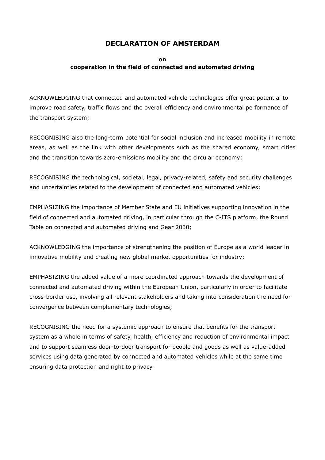# **DECLARATION OF AMSTERDAM**

# **on cooperation in the field of connected and automated driving**

ACKNOWLEDGING that connected and automated vehicle technologies offer great potential to improve road safety, traffic flows and the overall efficiency and environmental performance of the transport system;

RECOGNISING also the long-term potential for social inclusion and increased mobility in remote areas, as well as the link with other developments such as the shared economy, smart cities and the transition towards zero-emissions mobility and the circular economy;

RECOGNISING the technological, societal, legal, privacy-related, safety and security challenges and uncertainties related to the development of connected and automated vehicles;

EMPHASIZING the importance of Member State and EU initiatives supporting innovation in the field of connected and automated driving, in particular through the C-ITS platform, the Round Table on connected and automated driving and Gear 2030;

ACKNOWLEDGING the importance of strengthening the position of Europe as a world leader in innovative mobility and creating new global market opportunities for industry;

EMPHASIZING the added value of a more coordinated approach towards the development of connected and automated driving within the European Union, particularly in order to facilitate cross-border use, involving all relevant stakeholders and taking into consideration the need for convergence between complementary technologies;

RECOGNISING the need for a systemic approach to ensure that benefits for the transport system as a whole in terms of safety, health, efficiency and reduction of environmental impact and to support seamless door-to-door transport for people and goods as well as value-added services using data generated by connected and automated vehicles while at the same time ensuring data protection and right to privacy.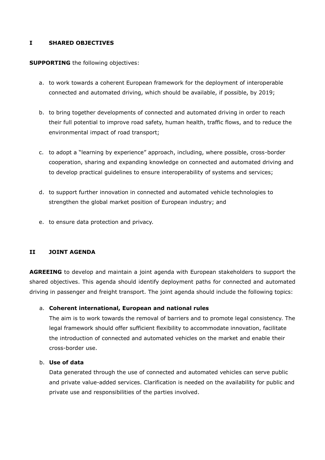#### **I SHARED OBJECTIVES**

#### **SUPPORTING** the following objectives:

- a. to work towards a coherent European framework for the deployment of interoperable connected and automated driving, which should be available, if possible, by 2019;
- b. to bring together developments of connected and automated driving in order to reach their full potential to improve road safety, human health, traffic flows, and to reduce the environmental impact of road transport;
- c. to adopt a "learning by experience" approach, including, where possible, cross-border cooperation, sharing and expanding knowledge on connected and automated driving and to develop practical guidelines to ensure interoperability of systems and services;
- d. to support further innovation in connected and automated vehicle technologies to strengthen the global market position of European industry; and
- e. to ensure data protection and privacy.

# **II JOINT AGENDA**

**AGREEING** to develop and maintain a joint agenda with European stakeholders to support the shared objectives. This agenda should identify deployment paths for connected and automated driving in passenger and freight transport. The joint agenda should include the following topics:

# a. **Coherent international, European and national rules**

The aim is to work towards the removal of barriers and to promote legal consistency. The legal framework should offer sufficient flexibility to accommodate innovation, facilitate the introduction of connected and automated vehicles on the market and enable their cross-border use.

# b. **Use of data**

Data generated through the use of connected and automated vehicles can serve public and private value-added services. Clarification is needed on the availability for public and private use and responsibilities of the parties involved.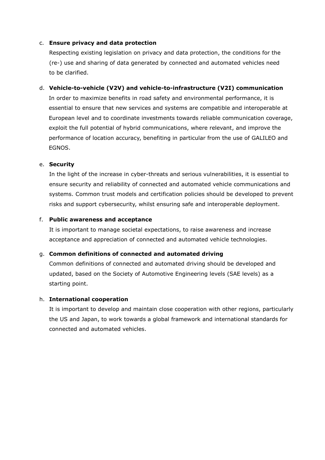### c. **Ensure privacy and data protection**

Respecting existing legislation on privacy and data protection, the conditions for the (re-) use and sharing of data generated by connected and automated vehicles need to be clarified.

#### d. **Vehicle-to-vehicle (V2V) and vehicle-to-infrastructure (V2I) communication**

In order to maximize benefits in road safety and environmental performance, it is essential to ensure that new services and systems are compatible and interoperable at European level and to coordinate investments towards reliable communication coverage, exploit the full potential of hybrid communications, where relevant, and improve the performance of location accuracy, benefiting in particular from the use of GALILEO and EGNOS.

#### e. **Security**

In the light of the increase in cyber-threats and serious vulnerabilities, it is essential to ensure security and reliability of connected and automated vehicle communications and systems. Common trust models and certification policies should be developed to prevent risks and support cybersecurity, whilst ensuring safe and interoperable deployment.

#### f. **Public awareness and acceptance**

It is important to manage societal expectations, to raise awareness and increase acceptance and appreciation of connected and automated vehicle technologies.

# g. **Common definitions of connected and automated driving**

Common definitions of connected and automated driving should be developed and updated, based on the Society of Automotive Engineering levels (SAE levels) as a starting point.

#### h. **International cooperation**

It is important to develop and maintain close cooperation with other regions, particularly the US and Japan, to work towards a global framework and international standards for connected and automated vehicles.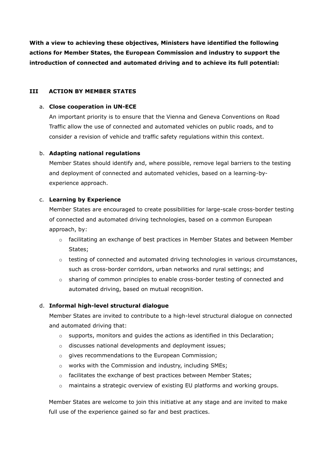**With a view to achieving these objectives, Ministers have identified the following actions for Member States, the European Commission and industry to support the introduction of connected and automated driving and to achieve its full potential:**

# **III ACTION BY MEMBER STATES**

### a. **Close cooperation in UN-ECE**

An important priority is to ensure that the Vienna and Geneva Conventions on Road Traffic allow the use of connected and automated vehicles on public roads, and to consider a revision of vehicle and traffic safety regulations within this context.

# b. **Adapting national regulations**

Member States should identify and, where possible, remove legal barriers to the testing and deployment of connected and automated vehicles, based on a learning-byexperience approach.

# c. **Learning by Experience**

Member States are encouraged to create possibilities for large-scale cross-border testing of connected and automated driving technologies, based on a common European approach, by:

- $\circ$  facilitating an exchange of best practices in Member States and between Member States;
- $\circ$  testing of connected and automated driving technologies in various circumstances, such as cross-border corridors, urban networks and rural settings; and
- o sharing of common principles to enable cross-border testing of connected and automated driving, based on mutual recognition.

# d. **Informal high-level structural dialogue**

Member States are invited to contribute to a high-level structural dialogue on connected and automated driving that:

- $\circ$  supports, monitors and guides the actions as identified in this Declaration;
- o discusses national developments and deployment issues;
- o gives recommendations to the European Commission;
- o works with the Commission and industry, including SMEs;
- $\circ$  facilitates the exchange of best practices between Member States;
- o maintains a strategic overview of existing EU platforms and working groups.

Member States are welcome to join this initiative at any stage and are invited to make full use of the experience gained so far and best practices.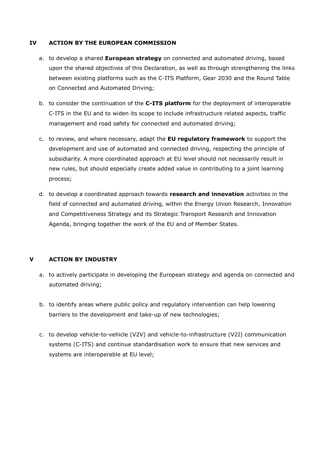### **IV ACTION BY THE EUROPEAN COMMISSION**

- a. to develop a shared **European strategy** on connected and automated driving, based upon the shared objectives of this Declaration, as well as through strengthening the links between existing platforms such as the C-ITS Platform, Gear 2030 and the Round Table on Connected and Automated Driving;
- b. to consider the continuation of the **C-ITS platform** for the deployment of interoperable C-ITS in the EU and to widen its scope to include infrastructure related aspects, traffic management and road safety for connected and automated driving;
- c. to review, and where necessary, adapt the **EU regulatory framework** to support the development and use of automated and connected driving, respecting the principle of subsidiarity. A more coordinated approach at EU level should not necessarily result in new rules, but should especially create added value in contributing to a joint learning process;
- d. to develop a coordinated approach towards **research and innovation** activities in the field of connected and automated driving, within the Energy Union Research, Innovation and Competitiveness Strategy and its Strategic Transport Research and Innovation Agenda, bringing together the work of the EU and of Member States.

# **V ACTION BY INDUSTRY**

- a. to actively participate in developing the European strategy and agenda on connected and automated driving;
- b. to identify areas where public policy and regulatory intervention can help lowering barriers to the development and take-up of new technologies;
- c. to develop vehicle-to-vehicle (V2V) and vehicle-to-infrastructure (V2I) communication systems (C-ITS) and continue standardisation work to ensure that new services and systems are interoperable at EU level;